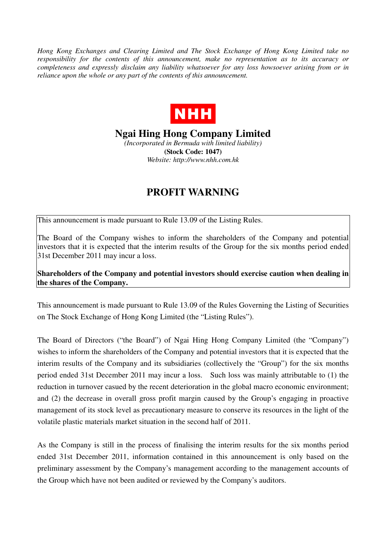*Hong Kong Exchanges and Clearing Limited and The Stock Exchange of Hong Kong Limited take no responsibility for the contents of this announcement, make no representation as to its accuracy or completeness and expressly disclaim any liability whatsoever for any loss howsoever arising from or in reliance upon the whole or any part of the contents of this announcement.* 



**Ngai Hing Hong Company Limited** 

*(Incorporated in Bermuda with limited liability)*  **(Stock Code: 1047)**  *Website: http://www.nhh.com.hk* 

## **PROFIT WARNING**

This announcement is made pursuant to Rule 13.09 of the Listing Rules.

The Board of the Company wishes to inform the shareholders of the Company and potential investors that it is expected that the interim results of the Group for the six months period ended 31st December 2011 may incur a loss.

**Shareholders of the Company and potential investors should exercise caution when dealing in the shares of the Company.** 

This announcement is made pursuant to Rule 13.09 of the Rules Governing the Listing of Securities on The Stock Exchange of Hong Kong Limited (the "Listing Rules").

The Board of Directors ("the Board") of Ngai Hing Hong Company Limited (the "Company") wishes to inform the shareholders of the Company and potential investors that it is expected that the interim results of the Company and its subsidiaries (collectively the "Group") for the six months period ended 31st December 2011 may incur a loss. Such loss was mainly attributable to (1) the reduction in turnover casued by the recent deterioration in the global macro economic environment; and (2) the decrease in overall gross profit margin caused by the Group's engaging in proactive management of its stock level as precautionary measure to conserve its resources in the light of the volatile plastic materials market situation in the second half of 2011.

As the Company is still in the process of finalising the interim results for the six months period ended 31st December 2011, information contained in this announcement is only based on the preliminary assessment by the Company's management according to the management accounts of the Group which have not been audited or reviewed by the Company's auditors.